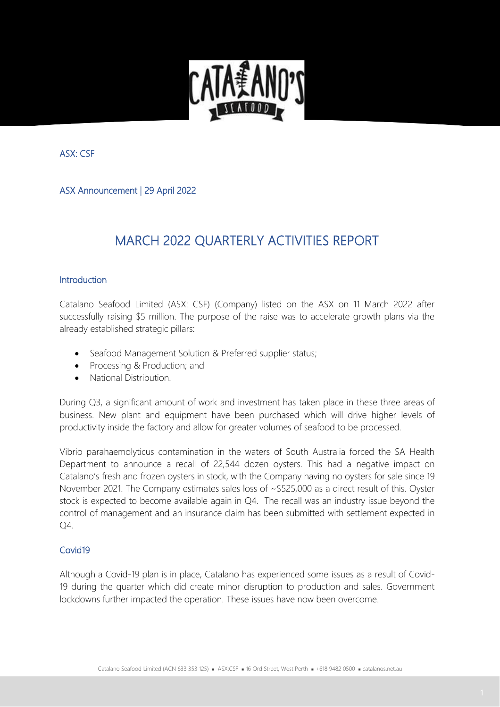

ASX: CSF

ASX Announcement | 29 April 2022

# MARCH 2022 QUARTERLY ACTIVITIES REPORT

#### **Introduction**

Catalano Seafood Limited (ASX: CSF) (Company) listed on the ASX on 11 March 2022 after successfully raising \$5 million. The purpose of the raise was to accelerate growth plans via the already established strategic pillars:

- Seafood Management Solution & Preferred supplier status;
- Processing & Production; and
- National Distribution.

During Q3, a significant amount of work and investment has taken place in these three areas of business. New plant and equipment have been purchased which will drive higher levels of productivity inside the factory and allow for greater volumes of seafood to be processed.

Vibrio parahaemolyticus contamination in the waters of South Australia forced the SA Health Department to announce a recall of 22,544 dozen oysters. This had a negative impact on Catalano's fresh and frozen oysters in stock, with the Company having no oysters for sale since 19 November 2021. The Company estimates sales loss of ~\$525,000 as a direct result of this. Oyster stock is expected to become available again in Q4. The recall was an industry issue beyond the control of management and an insurance claim has been submitted with settlement expected in Q4.

#### Covid19

Although a Covid-19 plan is in place, Catalano has experienced some issues as a result of Covid-19 during the quarter which did create minor disruption to production and sales. Government lockdowns further impacted the operation. These issues have now been overcome.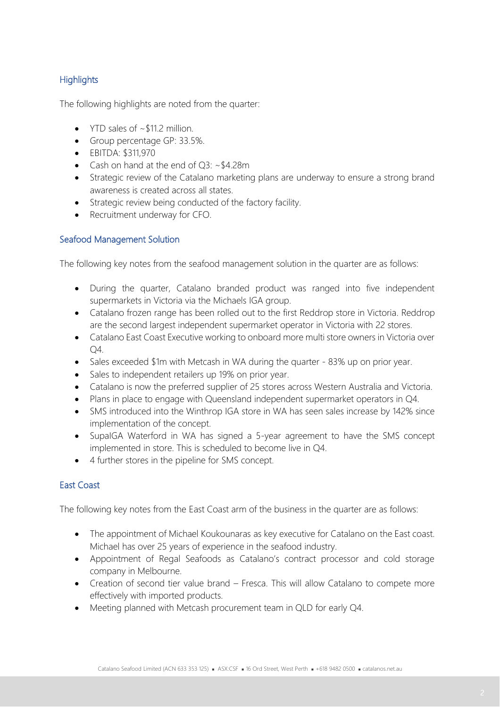### **Highlights**

The following highlights are noted from the quarter:

- YTD sales of ~\$11.2 million.
- Group percentage GP: 33.5%.
- EBITDA: \$311,970
- Cash on hand at the end of Q3: ~\$4.28m
- Strategic review of the Catalano marketing plans are underway to ensure a strong brand awareness is created across all states.
- Strategic review being conducted of the factory facility.
- Recruitment underway for CFO.

#### Seafood Management Solution

The following key notes from the seafood management solution in the quarter are as follows:

- During the quarter, Catalano branded product was ranged into five independent supermarkets in Victoria via the Michaels IGA group.
- Catalano frozen range has been rolled out to the first Reddrop store in Victoria. Reddrop are the second largest independent supermarket operator in Victoria with 22 stores.
- Catalano East Coast Executive working to onboard more multi store owners in Victoria over Q4.
- Sales exceeded \$1m with Metcash in WA during the quarter 83% up on prior year.
- Sales to independent retailers up 19% on prior year.
- Catalano is now the preferred supplier of 25 stores across Western Australia and Victoria.
- Plans in place to engage with Queensland independent supermarket operators in Q4.
- SMS introduced into the Winthrop IGA store in WA has seen sales increase by 142% since implementation of the concept.
- SupaIGA Waterford in WA has signed a 5-year agreement to have the SMS concept implemented in store. This is scheduled to become live in Q4.
- 4 further stores in the pipeline for SMS concept.

### East Coast

The following key notes from the East Coast arm of the business in the quarter are as follows:

- The appointment of Michael Koukounaras as key executive for Catalano on the East coast. Michael has over 25 years of experience in the seafood industry.
- Appointment of Regal Seafoods as Catalano's contract processor and cold storage company in Melbourne.
- Creation of second tier value brand Fresca. This will allow Catalano to compete more effectively with imported products.
- Meeting planned with Metcash procurement team in QLD for early Q4.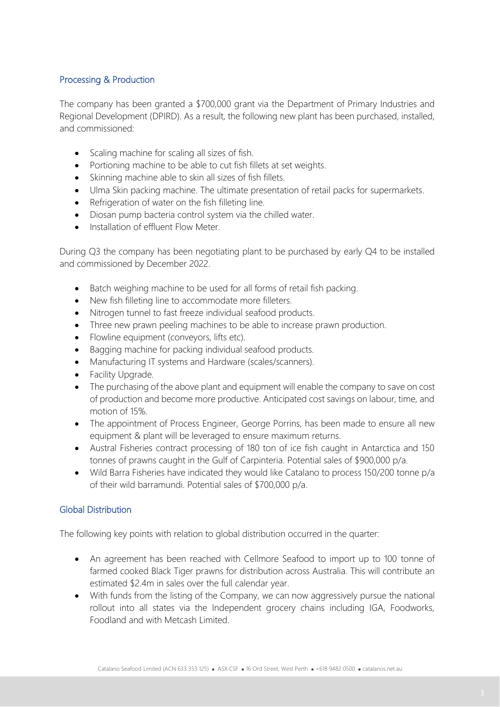#### Processing & Production

The company has been granted a \$700,000 grant via the Department of Primary Industries and Regional Development (DPIRD). As a result, the following new plant has been purchased, installed, and commissioned:

- Scaling machine for scaling all sizes of fish.
- Portioning machine to be able to cut fish fillets at set weights.
- Skinning machine able to skin all sizes of fish fillets.
- Ulma Skin packing machine. The ultimate presentation of retail packs for supermarkets.
- Refrigeration of water on the fish filleting line.
- Diosan pump bacteria control system via the chilled water.
- Installation of effluent Flow Meter

During Q3 the company has been negotiating plant to be purchased by early Q4 to be installed and commissioned by December 2022.

- Batch weighing machine to be used for all forms of retail fish packing.
- New fish filleting line to accommodate more filleters.
- Nitrogen tunnel to fast freeze individual seafood products.
- Three new prawn peeling machines to be able to increase prawn production.
- Flowline equipment (conveyors, lifts etc).
- Bagging machine for packing individual seafood products.
- Manufacturing IT systems and Hardware (scales/scanners).
- Facility Upgrade.
- The purchasing of the above plant and equipment will enable the company to save on cost of production and become more productive. Anticipated cost savings on labour, time, and motion of 15%.
- The appointment of Process Engineer, George Porrins, has been made to ensure all new equipment & plant will be leveraged to ensure maximum returns.
- Austral Fisheries contract processing of 180 ton of ice fish caught in Antarctica and 150 tonnes of prawns caught in the Gulf of Carpinteria. Potential sales of \$900,000 p/a.
- Wild Barra Fisheries have indicated they would like Catalano to process 150/200 tonne p/a of their wild barramundi. Potential sales of \$700,000 p/a.

#### Global Distribution

The following key points with relation to global distribution occurred in the quarter:

- An agreement has been reached with Cellmore Seafood to import up to 100 tonne of farmed cooked Black Tiger prawns for distribution across Australia. This will contribute an estimated \$2.4m in sales over the full calendar year.
- With funds from the listing of the Company, we can now aggressively pursue the national rollout into all states via the Independent grocery chains including IGA, Foodworks, Foodland and with Metcash Limited.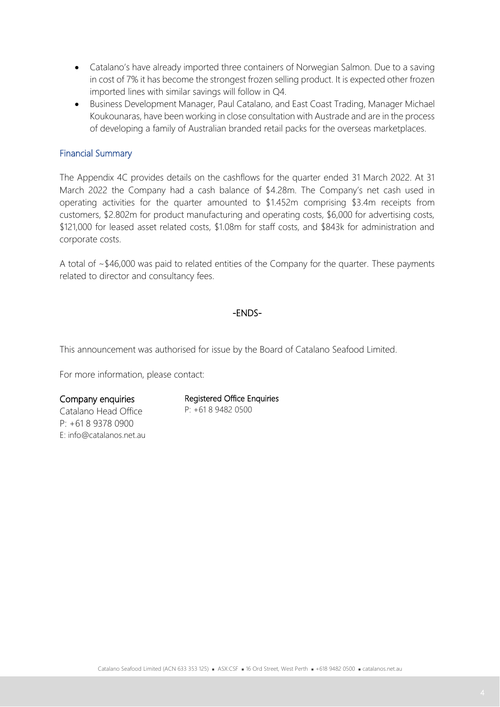- Catalano's have already imported three containers of Norwegian Salmon. Due to a saving in cost of 7% it has become the strongest frozen selling product. It is expected other frozen imported lines with similar savings will follow in Q4.
- Business Development Manager, Paul Catalano, and East Coast Trading, Manager Michael Koukounaras, have been working in close consultation with Austrade and are in the process of developing a family of Australian branded retail packs for the overseas marketplaces.

#### Financial Summary

The Appendix 4C provides details on the cashflows for the quarter ended 31 March 2022. At 31 March 2022 the Company had a cash balance of \$4.28m. The Company's net cash used in operating activities for the quarter amounted to \$1.452m comprising \$3.4m receipts from customers, \$2.802m for product manufacturing and operating costs, \$6,000 for advertising costs, \$121,000 for leased asset related costs, \$1.08m for staff costs, and \$843k for administration and corporate costs.

A total of ~\$46,000 was paid to related entities of the Company for the quarter. These payments related to director and consultancy fees.

#### -ENDS-

This announcement was authorised for issue by the Board of Catalano Seafood Limited.

For more information, please contact:

#### Company enquiries

Catalano Head Office P: +61 8 9378 0900 E: info@catalanos.net.au

#### Registered Office Enquiries

P: +61 8 9482 0500